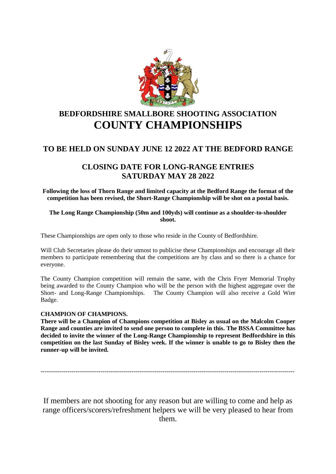

# **BEDFORDSHIRE SMALLBORE SHOOTING ASSOCIATION COUNTY CHAMPIONSHIPS**

# **TO BE HELD ON SUNDAY JUNE 12 2022 AT THE BEDFORD RANGE**

# **CLOSING DATE FOR LONG-RANGE ENTRIES SATURDAY MAY 28 2022**

**Following the loss of Thorn Range and limited capacity at the Bedford Range the format of the competition has been revised, the Short-Range Championship will be shot on a postal basis.**

### **The Long Range Championship (50m and 100yds) will continue as a shoulder-to-shoulder shoot.**

These Championships are open only to those who reside in the County of Bedfordshire.

Will Club Secretaries please do their utmost to publicise these Championships and encourage all their members to participate remembering that the competitions are by class and so there is a chance for everyone.

The County Champion competition will remain the same, with the Chris Fryer Memorial Trophy being awarded to the County Champion who will be the person with the highest aggregate over the Short- and Long-Range Championships. The County Champion will also receive a Gold Wire Badge.

## **CHAMPION OF CHAMPIONS.**

**There will be a Champion of Champions competition at Bisley as usual on the Malcolm Cooper Range and counties are invited to send one person to complete in this. The BSSA Committee has decided to invite the winner of the Long-Range Championship to represent Bedfordshire in this competition on the last Sunday of Bisley week. If the winner is unable to go to Bisley then the runner-up will be invited.**

---------------------------------------------------------------------------------------------------------------------------

If members are not shooting for any reason but are willing to come and help as range officers/scorers/refreshment helpers we will be very pleased to hear from them.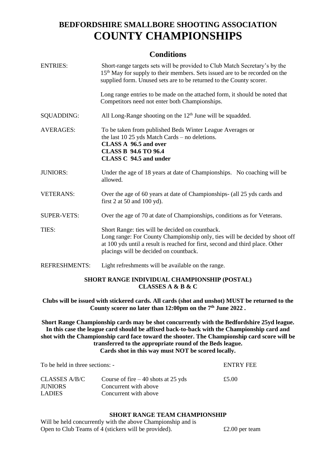# **BEDFORDSHIRE SMALLBORE SHOOTING ASSOCIATION COUNTY CHAMPIONSHIPS**

# **Conditions**

| <b>ENTRIES:</b>      | Short-range targets sets will be provided to Club Match Secretary's by the<br>15 <sup>th</sup> May for supply to their members. Sets issued are to be recorded on the<br>supplied form. Unused sets are to be returned to the County scorer.              |  |
|----------------------|-----------------------------------------------------------------------------------------------------------------------------------------------------------------------------------------------------------------------------------------------------------|--|
|                      | Long range entries to be made on the attached form, it should be noted that<br>Competitors need not enter both Championships.                                                                                                                             |  |
| <b>SQUADDING:</b>    | All Long-Range shooting on the $12th$ June will be squadded.                                                                                                                                                                                              |  |
| <b>AVERAGES:</b>     | To be taken from published Beds Winter League Averages or<br>the last 10 $25$ yds Match Cards – no deletions.<br>CLASS A 96.5 and over<br><b>CLASS B 94.6 TO 96.4</b><br><b>CLASS C 94.5 and under</b>                                                    |  |
| <b>JUNIORS:</b>      | Under the age of 18 years at date of Championships. No coaching will be<br>allowed.                                                                                                                                                                       |  |
| <b>VETERANS:</b>     | Over the age of 60 years at date of Championships- (all 25 yds cards and<br>first 2 at 50 and 100 yd).                                                                                                                                                    |  |
| <b>SUPER-VETS:</b>   | Over the age of 70 at date of Championships, conditions as for Veterans.                                                                                                                                                                                  |  |
| TIES:                | Short Range: ties will be decided on countback.<br>Long range: For County Championship only, ties will be decided by shoot off<br>at 100 yds until a result is reached for first, second and third place. Other<br>placings will be decided on countback. |  |
| <b>REFRESHMENTS:</b> | Light refreshments will be available on the range.                                                                                                                                                                                                        |  |

### **SHORT RANGE INDIVIDUAL CHAMPIONSHIP (POSTAL) CLASSES A & B & C**

**Clubs will be issued with stickered cards. All cards (shot and unshot) MUST be returned to the County scorer no later than 12:00pm on the 7 th June 2022 .**

**Short Range Championship cards may be shot concurrently with the Bedfordshire 25yd league. In this case the league card should be affixed back-to-back with the Championship card and shot with the Championship card face toward the shooter. The Championship card score will be transferred to the appropriate round of the Beds league. Cards shot in this way must NOT be scored locally.**

| To be held in three sections: - | <b>ENTRY FEE</b>                     |       |
|---------------------------------|--------------------------------------|-------|
| CLASSES A/B/C                   | Course of fire $-40$ shots at 25 yds | £5.00 |
| <b>JUNIORS</b>                  | Concurrent with above                |       |
| <b>LADIES</b>                   | Concurrent with above                |       |

## **SHORT RANGE TEAM CHAMPIONSHIP**

Will be held concurrently with the above Championship and is Open to Club Teams of 4 (stickers will be provided). £2.00 per team